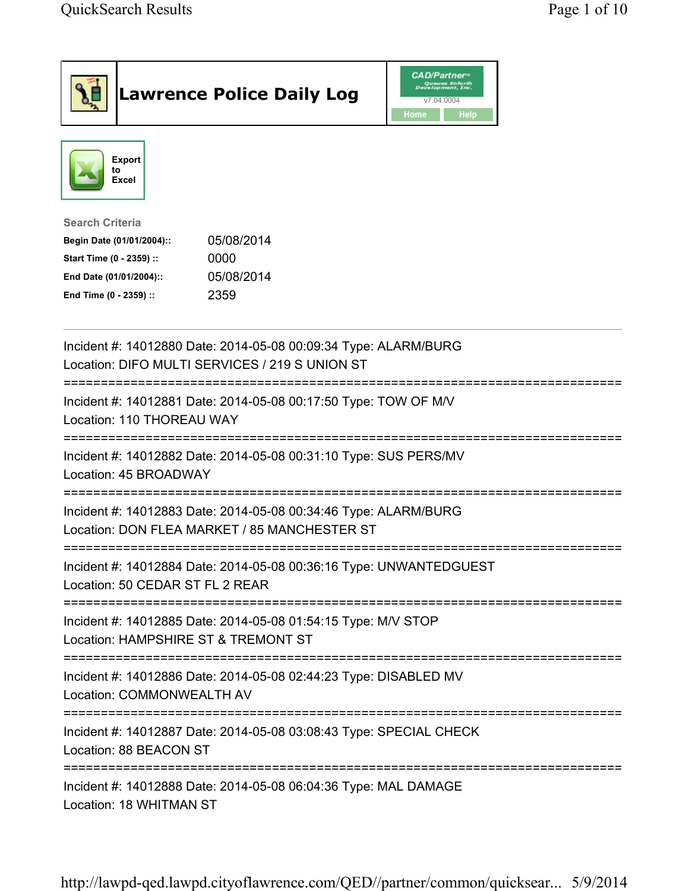| <b>Lawrence Police Daily Log</b>                                                                                                                                                 | <b>CAD/Partner</b> "<br>Queues Enforth<br>Development, Inc.<br>v7.04.0004<br>Home<br>Help |
|----------------------------------------------------------------------------------------------------------------------------------------------------------------------------------|-------------------------------------------------------------------------------------------|
| <b>Export</b><br>to<br><b>Excel</b>                                                                                                                                              |                                                                                           |
| <b>Search Criteria</b><br>05/08/2014<br>Begin Date (01/01/2004)::<br>Start Time (0 - 2359) ::<br>0000<br>05/08/2014<br>End Date (01/01/2004)::<br>2359<br>End Time (0 - 2359) :: |                                                                                           |
| Incident #: 14012880 Date: 2014-05-08 00:09:34 Type: ALARM/BURG<br>Location: DIFO MULTI SERVICES / 219 S UNION ST                                                                |                                                                                           |
| :===========================<br>Incident #: 14012881 Date: 2014-05-08 00:17:50 Type: TOW OF M/V<br>Location: 110 THOREAU WAY                                                     |                                                                                           |
| Incident #: 14012882 Date: 2014-05-08 00:31:10 Type: SUS PERS/MV<br>Location: 45 BROADWAY                                                                                        |                                                                                           |
| Incident #: 14012883 Date: 2014-05-08 00:34:46 Type: ALARM/BURG<br>Location: DON FLEA MARKET / 85 MANCHESTER ST                                                                  |                                                                                           |
| Incident #: 14012884 Date: 2014-05-08 00:36:16 Type: UNWANTEDGUEST<br>Location: 50 CEDAR ST FL 2 REAR                                                                            |                                                                                           |
| Incident #: 14012885 Date: 2014-05-08 01:54:15 Type: M/V STOP<br>Location: HAMPSHIRE ST & TREMONT ST                                                                             |                                                                                           |
| Incident #: 14012886 Date: 2014-05-08 02:44:23 Type: DISABLED MV<br>Location: COMMONWEALTH AV                                                                                    |                                                                                           |
| Incident #: 14012887 Date: 2014-05-08 03:08:43 Type: SPECIAL CHECK<br>Location: 88 BEACON ST                                                                                     |                                                                                           |
| Incident #: 14012888 Date: 2014-05-08 06:04:36 Type: MAL DAMAGE<br>Location: 18 WHITMAN ST                                                                                       |                                                                                           |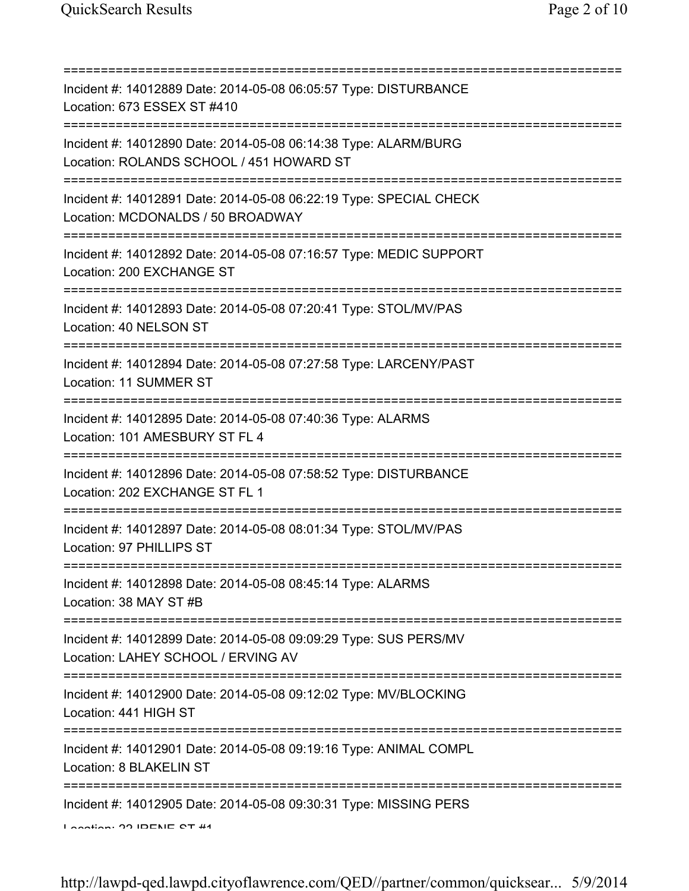=========================================================================== Incident #: 14012889 Date: 2014-05-08 06:05:57 Type: DISTURBANCE Location: 673 ESSEX ST #410 =========================================================================== Incident #: 14012890 Date: 2014-05-08 06:14:38 Type: ALARM/BURG Location: ROLANDS SCHOOL / 451 HOWARD ST =========================================================================== Incident #: 14012891 Date: 2014-05-08 06:22:19 Type: SPECIAL CHECK Location: MCDONALDS / 50 BROADWAY =========================================================================== Incident #: 14012892 Date: 2014-05-08 07:16:57 Type: MEDIC SUPPORT Location: 200 EXCHANGE ST =========================================================================== Incident #: 14012893 Date: 2014-05-08 07:20:41 Type: STOL/MV/PAS Location: 40 NELSON ST =========================================================================== Incident #: 14012894 Date: 2014-05-08 07:27:58 Type: LARCENY/PAST Location: 11 SUMMER ST =========================================================================== Incident #: 14012895 Date: 2014-05-08 07:40:36 Type: ALARMS Location: 101 AMESBURY ST FL 4 =========================================================================== Incident #: 14012896 Date: 2014-05-08 07:58:52 Type: DISTURBANCE Location: 202 EXCHANGE ST FL 1 =========================================================================== Incident #: 14012897 Date: 2014-05-08 08:01:34 Type: STOL/MV/PAS Location: 97 PHILLIPS ST =========================================================================== Incident #: 14012898 Date: 2014-05-08 08:45:14 Type: ALARMS Location: 38 MAY ST #B =========================================================================== Incident #: 14012899 Date: 2014-05-08 09:09:29 Type: SUS PERS/MV Location: LAHEY SCHOOL / ERVING AV =========================================================================== Incident #: 14012900 Date: 2014-05-08 09:12:02 Type: MV/BLOCKING Location: 441 HIGH ST =========================================================================== Incident #: 14012901 Date: 2014-05-08 09:19:16 Type: ANIMAL COMPL Location: 8 BLAKELIN ST =========================================================================== Incident #: 14012905 Date: 2014-05-08 09:30:31 Type: MISSING PERS Location: 22 IDENE CT #1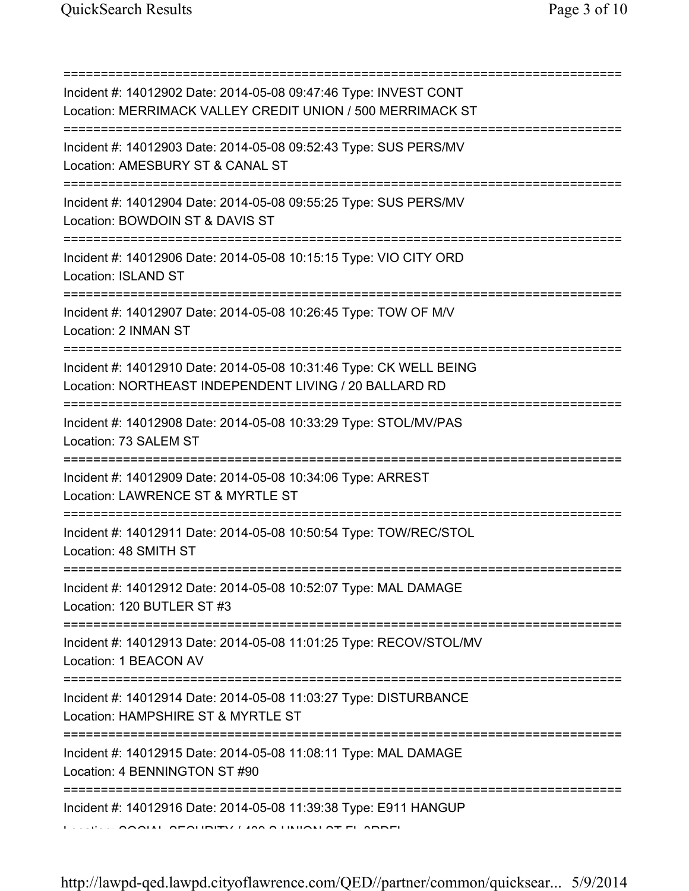| Incident #: 14012902 Date: 2014-05-08 09:47:46 Type: INVEST CONT<br>Location: MERRIMACK VALLEY CREDIT UNION / 500 MERRIMACK ST                 |
|------------------------------------------------------------------------------------------------------------------------------------------------|
| Incident #: 14012903 Date: 2014-05-08 09:52:43 Type: SUS PERS/MV<br>Location: AMESBURY ST & CANAL ST<br>====================================   |
| Incident #: 14012904 Date: 2014-05-08 09:55:25 Type: SUS PERS/MV<br>Location: BOWDOIN ST & DAVIS ST                                            |
| Incident #: 14012906 Date: 2014-05-08 10:15:15 Type: VIO CITY ORD<br>Location: ISLAND ST                                                       |
| Incident #: 14012907 Date: 2014-05-08 10:26:45 Type: TOW OF M/V<br>Location: 2 INMAN ST                                                        |
| Incident #: 14012910 Date: 2014-05-08 10:31:46 Type: CK WELL BEING<br>Location: NORTHEAST INDEPENDENT LIVING / 20 BALLARD RD                   |
| Incident #: 14012908 Date: 2014-05-08 10:33:29 Type: STOL/MV/PAS<br>Location: 73 SALEM ST                                                      |
| Incident #: 14012909 Date: 2014-05-08 10:34:06 Type: ARREST<br>Location: LAWRENCE ST & MYRTLE ST                                               |
| Incident #: 14012911 Date: 2014-05-08 10:50:54 Type: TOW/REC/STOL<br>Location: 48 SMITH ST                                                     |
| Incident #: 14012912 Date: 2014-05-08 10:52:07 Type: MAL DAMAGE<br>Location: 120 BUTLER ST #3                                                  |
| Incident #: 14012913 Date: 2014-05-08 11:01:25 Type: RECOV/STOL/MV<br>Location: 1 BEACON AV                                                    |
| :===================================<br>Incident #: 14012914 Date: 2014-05-08 11:03:27 Type: DISTURBANCE<br>Location: HAMPSHIRE ST & MYRTLE ST |
| Incident #: 14012915 Date: 2014-05-08 11:08:11 Type: MAL DAMAGE<br>Location: 4 BENNINGTON ST #90                                               |
| Incident #: 14012916 Date: 2014-05-08 11:39:38 Type: E911 HANGUP                                                                               |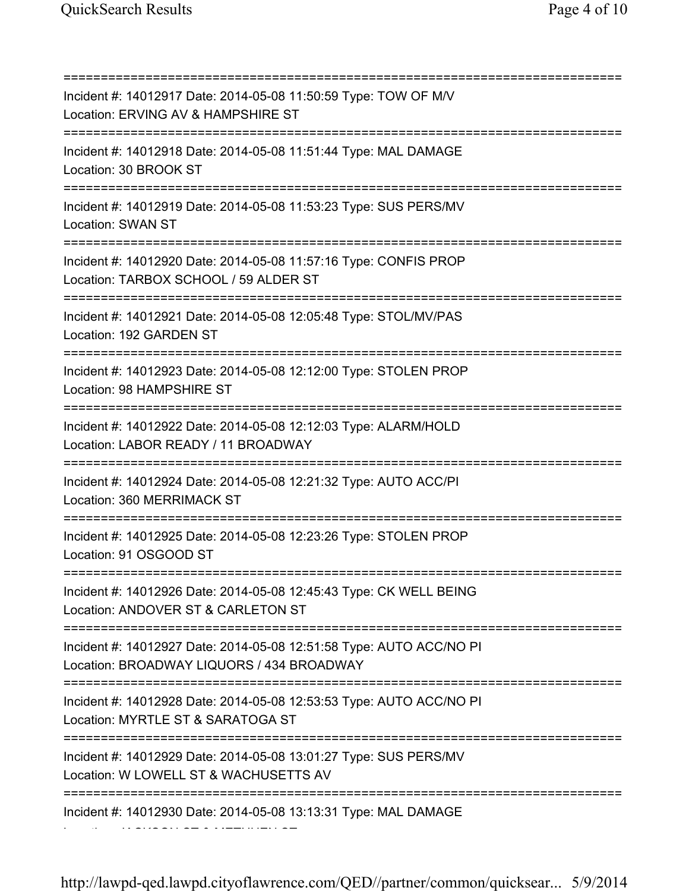=========================================================================== Incident #: 14012917 Date: 2014-05-08 11:50:59 Type: TOW OF M/V Location: ERVING AV & HAMPSHIRE ST =========================================================================== Incident #: 14012918 Date: 2014-05-08 11:51:44 Type: MAL DAMAGE Location: 30 BROOK ST =========================================================================== Incident #: 14012919 Date: 2014-05-08 11:53:23 Type: SUS PERS/MV Location: SWAN ST =========================================================================== Incident #: 14012920 Date: 2014-05-08 11:57:16 Type: CONFIS PROP Location: TARBOX SCHOOL / 59 ALDER ST =========================================================================== Incident #: 14012921 Date: 2014-05-08 12:05:48 Type: STOL/MV/PAS Location: 192 GARDEN ST =========================================================================== Incident #: 14012923 Date: 2014-05-08 12:12:00 Type: STOLEN PROP Location: 98 HAMPSHIRE ST =========================================================================== Incident #: 14012922 Date: 2014-05-08 12:12:03 Type: ALARM/HOLD Location: LABOR READY / 11 BROADWAY =========================================================================== Incident #: 14012924 Date: 2014-05-08 12:21:32 Type: AUTO ACC/PI Location: 360 MERRIMACK ST =========================================================================== Incident #: 14012925 Date: 2014-05-08 12:23:26 Type: STOLEN PROP Location: 91 OSGOOD ST =========================================================================== Incident #: 14012926 Date: 2014-05-08 12:45:43 Type: CK WELL BEING Location: ANDOVER ST & CARLETON ST =========================================================================== Incident #: 14012927 Date: 2014-05-08 12:51:58 Type: AUTO ACC/NO PI Location: BROADWAY LIQUORS / 434 BROADWAY =========================================================================== Incident #: 14012928 Date: 2014-05-08 12:53:53 Type: AUTO ACC/NO PI Location: MYRTLE ST & SARATOGA ST =========================================================================== Incident #: 14012929 Date: 2014-05-08 13:01:27 Type: SUS PERS/MV Location: W LOWELL ST & WACHUSETTS AV =========================================================================== Incident #: 14012930 Date: 2014-05-08 13:13:31 Type: MAL DAMAGE

http://lawpd-qed.lawpd.cityoflawrence.com/QED//partner/common/quicksear... 5/9/2014

Location: JACKSON ST & METHUEN ST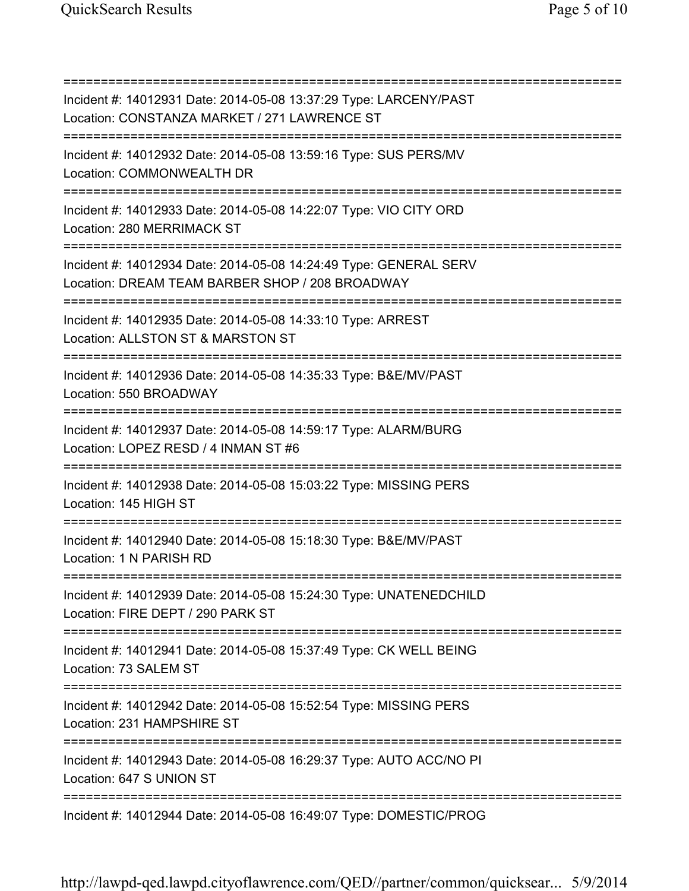=========================================================================== Incident #: 14012931 Date: 2014-05-08 13:37:29 Type: LARCENY/PAST Location: CONSTANZA MARKET / 271 LAWRENCE ST =========================================================================== Incident #: 14012932 Date: 2014-05-08 13:59:16 Type: SUS PERS/MV Location: COMMONWEALTH DR =========================================================================== Incident #: 14012933 Date: 2014-05-08 14:22:07 Type: VIO CITY ORD Location: 280 MERRIMACK ST =========================================================================== Incident #: 14012934 Date: 2014-05-08 14:24:49 Type: GENERAL SERV Location: DREAM TEAM BARBER SHOP / 208 BROADWAY =========================================================================== Incident #: 14012935 Date: 2014-05-08 14:33:10 Type: ARREST Location: ALLSTON ST & MARSTON ST =========================================================================== Incident #: 14012936 Date: 2014-05-08 14:35:33 Type: B&E/MV/PAST Location: 550 BROADWAY =========================================================================== Incident #: 14012937 Date: 2014-05-08 14:59:17 Type: ALARM/BURG Location: LOPEZ RESD / 4 INMAN ST #6 =========================================================================== Incident #: 14012938 Date: 2014-05-08 15:03:22 Type: MISSING PERS Location: 145 HIGH ST =========================================================================== Incident #: 14012940 Date: 2014-05-08 15:18:30 Type: B&E/MV/PAST Location: 1 N PARISH RD =========================================================================== Incident #: 14012939 Date: 2014-05-08 15:24:30 Type: UNATENEDCHILD Location: FIRE DEPT / 290 PARK ST =========================================================================== Incident #: 14012941 Date: 2014-05-08 15:37:49 Type: CK WELL BEING Location: 73 SALEM ST =========================================================================== Incident #: 14012942 Date: 2014-05-08 15:52:54 Type: MISSING PERS Location: 231 HAMPSHIRE ST =========================================================================== Incident #: 14012943 Date: 2014-05-08 16:29:37 Type: AUTO ACC/NO PI Location: 647 S UNION ST =========================================================================== Incident #: 14012944 Date: 2014-05-08 16:49:07 Type: DOMESTIC/PROG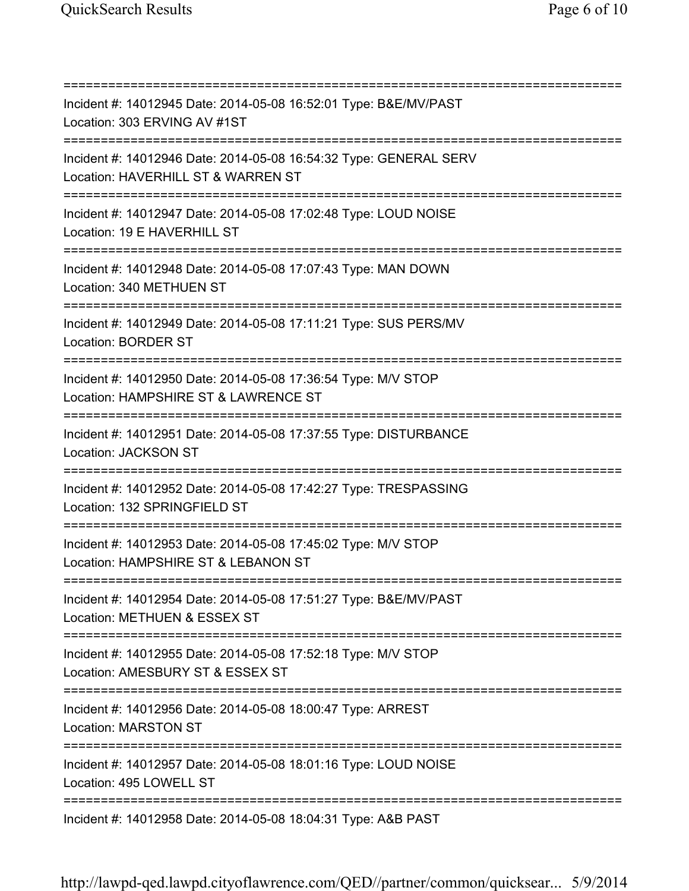=========================================================================== Incident #: 14012945 Date: 2014-05-08 16:52:01 Type: B&E/MV/PAST Location: 303 ERVING AV #1ST =========================================================================== Incident #: 14012946 Date: 2014-05-08 16:54:32 Type: GENERAL SERV Location: HAVERHILL ST & WARREN ST =========================================================================== Incident #: 14012947 Date: 2014-05-08 17:02:48 Type: LOUD NOISE Location: 19 E HAVERHILL ST =========================================================================== Incident #: 14012948 Date: 2014-05-08 17:07:43 Type: MAN DOWN Location: 340 METHUEN ST =========================================================================== Incident #: 14012949 Date: 2014-05-08 17:11:21 Type: SUS PERS/MV Location: BORDER ST =========================================================================== Incident #: 14012950 Date: 2014-05-08 17:36:54 Type: M/V STOP Location: HAMPSHIRE ST & LAWRENCE ST =========================================================================== Incident #: 14012951 Date: 2014-05-08 17:37:55 Type: DISTURBANCE Location: JACKSON ST =========================================================================== Incident #: 14012952 Date: 2014-05-08 17:42:27 Type: TRESPASSING Location: 132 SPRINGFIELD ST =========================================================================== Incident #: 14012953 Date: 2014-05-08 17:45:02 Type: M/V STOP Location: HAMPSHIRE ST & LEBANON ST =========================================================================== Incident #: 14012954 Date: 2014-05-08 17:51:27 Type: B&E/MV/PAST Location: METHUEN & ESSEX ST =========================================================================== Incident #: 14012955 Date: 2014-05-08 17:52:18 Type: M/V STOP Location: AMESBURY ST & ESSEX ST =========================================================================== Incident #: 14012956 Date: 2014-05-08 18:00:47 Type: ARREST Location: MARSTON ST =========================================================================== Incident #: 14012957 Date: 2014-05-08 18:01:16 Type: LOUD NOISE Location: 495 LOWELL ST =========================================================================== Incident #: 14012958 Date: 2014-05-08 18:04:31 Type: A&B PAST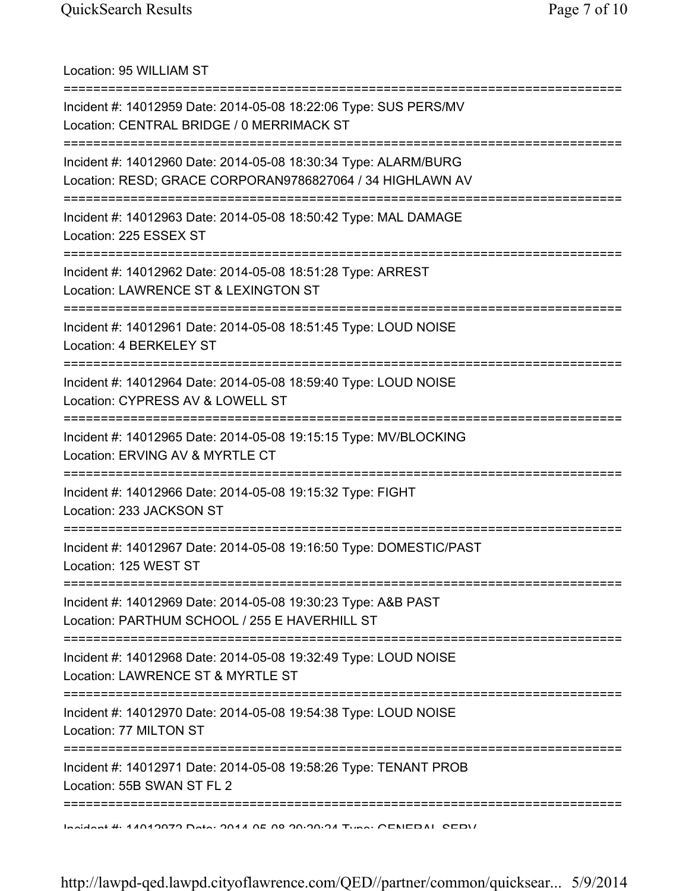Location: 95 WILLIAM ST =========================================================================== Incident #: 14012959 Date: 2014-05-08 18:22:06 Type: SUS PERS/MV Location: CENTRAL BRIDGE / 0 MERRIMACK ST =========================================================================== Incident #: 14012960 Date: 2014-05-08 18:30:34 Type: ALARM/BURG Location: RESD; GRACE CORPORAN9786827064 / 34 HIGHLAWN AV =========================================================================== Incident #: 14012963 Date: 2014-05-08 18:50:42 Type: MAL DAMAGE Location: 225 ESSEX ST =========================================================================== Incident #: 14012962 Date: 2014-05-08 18:51:28 Type: ARREST Location: LAWRENCE ST & LEXINGTON ST =========================================================================== Incident #: 14012961 Date: 2014-05-08 18:51:45 Type: LOUD NOISE Location: 4 BERKELEY ST =========================================================================== Incident #: 14012964 Date: 2014-05-08 18:59:40 Type: LOUD NOISE Location: CYPRESS AV & LOWELL ST =========================================================================== Incident #: 14012965 Date: 2014-05-08 19:15:15 Type: MV/BLOCKING Location: ERVING AV & MYRTLE CT =========================================================================== Incident #: 14012966 Date: 2014-05-08 19:15:32 Type: FIGHT Location: 233 JACKSON ST =========================================================================== Incident #: 14012967 Date: 2014-05-08 19:16:50 Type: DOMESTIC/PAST Location: 125 WEST ST =========================================================================== Incident #: 14012969 Date: 2014-05-08 19:30:23 Type: A&B PAST Location: PARTHUM SCHOOL / 255 E HAVERHILL ST =========================================================================== Incident #: 14012968 Date: 2014-05-08 19:32:49 Type: LOUD NOISE Location: LAWRENCE ST & MYRTLE ST =========================================================================== Incident #: 14012970 Date: 2014-05-08 19:54:38 Type: LOUD NOISE Location: 77 MILTON ST =========================================================================== Incident #: 14012971 Date: 2014-05-08 19:58:26 Type: TENANT PROB Location: 55B SWAN ST FL 2 =========================================================================== Incident #: 14012972 Date: 2014 05 08 20:20:24 Type: GENERAL SERV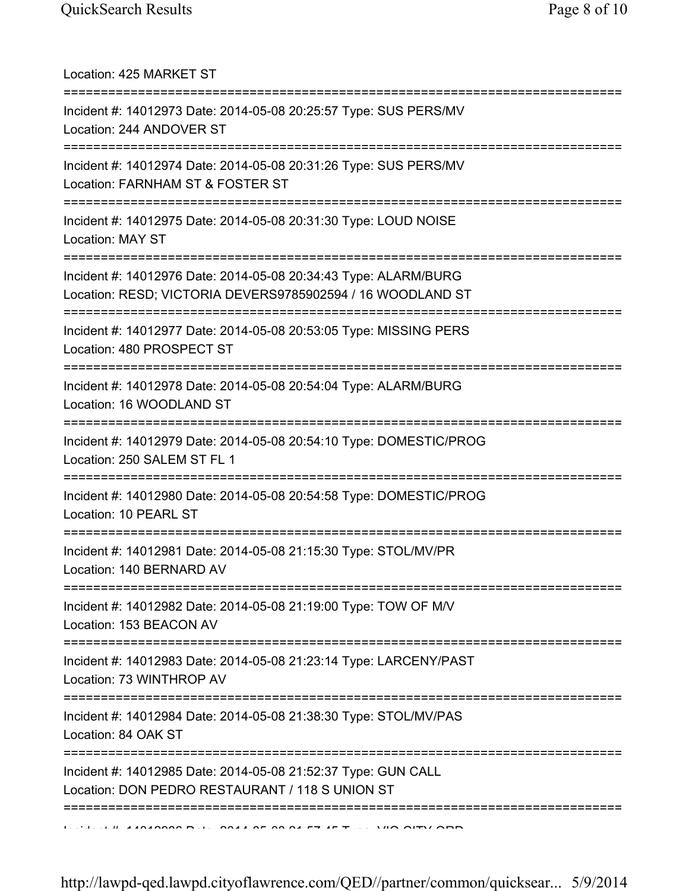| Location: 425 MARKET ST<br>=====================================                                                                                         |
|----------------------------------------------------------------------------------------------------------------------------------------------------------|
| Incident #: 14012973 Date: 2014-05-08 20:25:57 Type: SUS PERS/MV<br>Location: 244 ANDOVER ST                                                             |
| Incident #: 14012974 Date: 2014-05-08 20:31:26 Type: SUS PERS/MV<br>Location: FARNHAM ST & FOSTER ST                                                     |
| Incident #: 14012975 Date: 2014-05-08 20:31:30 Type: LOUD NOISE<br><b>Location: MAY ST</b>                                                               |
| Incident #: 14012976 Date: 2014-05-08 20:34:43 Type: ALARM/BURG<br>Location: RESD; VICTORIA DEVERS9785902594 / 16 WOODLAND ST                            |
| Incident #: 14012977 Date: 2014-05-08 20:53:05 Type: MISSING PERS<br>Location: 480 PROSPECT ST                                                           |
| Incident #: 14012978 Date: 2014-05-08 20:54:04 Type: ALARM/BURG<br>Location: 16 WOODLAND ST                                                              |
| Incident #: 14012979 Date: 2014-05-08 20:54:10 Type: DOMESTIC/PROG<br>Location: 250 SALEM ST FL 1                                                        |
| ============================<br>Incident #: 14012980 Date: 2014-05-08 20:54:58 Type: DOMESTIC/PROG<br>Location: 10 PEARL ST                              |
| Incident #: 14012981 Date: 2014-05-08 21:15:30 Type: STOL/MV/PR<br>Location: 140 BERNARD AV                                                              |
| :=====================<br>Incident #: 14012982 Date: 2014-05-08 21:19:00 Type: TOW OF M/V<br>Location: 153 BEACON AV                                     |
| Incident #: 14012983 Date: 2014-05-08 21:23:14 Type: LARCENY/PAST<br>Location: 73 WINTHROP AV                                                            |
| Incident #: 14012984 Date: 2014-05-08 21:38:30 Type: STOL/MV/PAS<br>Location: 84 OAK ST                                                                  |
| ====================================<br>Incident #: 14012985 Date: 2014-05-08 21:52:37 Type: GUN CALL<br>Location: DON PEDRO RESTAURANT / 118 S UNION ST |
|                                                                                                                                                          |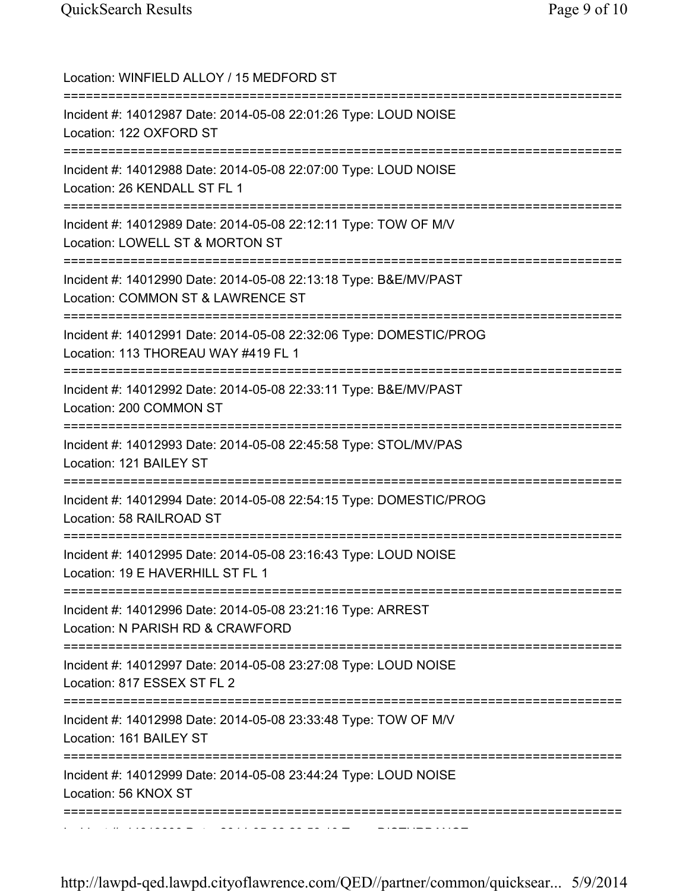| Location: WINFIELD ALLOY / 15 MEDFORD ST                                                                                                     |
|----------------------------------------------------------------------------------------------------------------------------------------------|
| Incident #: 14012987 Date: 2014-05-08 22:01:26 Type: LOUD NOISE<br>Location: 122 OXFORD ST                                                   |
| Incident #: 14012988 Date: 2014-05-08 22:07:00 Type: LOUD NOISE<br>Location: 26 KENDALL ST FL 1<br>====================================      |
| Incident #: 14012989 Date: 2014-05-08 22:12:11 Type: TOW OF M/V<br>Location: LOWELL ST & MORTON ST<br>==========================             |
| Incident #: 14012990 Date: 2014-05-08 22:13:18 Type: B&E/MV/PAST<br>Location: COMMON ST & LAWRENCE ST                                        |
| Incident #: 14012991 Date: 2014-05-08 22:32:06 Type: DOMESTIC/PROG<br>Location: 113 THOREAU WAY #419 FL 1                                    |
| Incident #: 14012992 Date: 2014-05-08 22:33:11 Type: B&E/MV/PAST<br>Location: 200 COMMON ST                                                  |
| Incident #: 14012993 Date: 2014-05-08 22:45:58 Type: STOL/MV/PAS<br>Location: 121 BAILEY ST                                                  |
| Incident #: 14012994 Date: 2014-05-08 22:54:15 Type: DOMESTIC/PROG<br>Location: 58 RAILROAD ST                                               |
| ;====================================<br>Incident #: 14012995 Date: 2014-05-08 23:16:43 Type: LOUD NOISE<br>Location: 19 E HAVERHILL ST FL 1 |
| Incident #: 14012996 Date: 2014-05-08 23:21:16 Type: ARREST<br>Location: N PARISH RD & CRAWFORD                                              |
| Incident #: 14012997 Date: 2014-05-08 23:27:08 Type: LOUD NOISE<br>Location: 817 ESSEX ST FL 2                                               |
| Incident #: 14012998 Date: 2014-05-08 23:33:48 Type: TOW OF M/V<br>Location: 161 BAILEY ST                                                   |
| Incident #: 14012999 Date: 2014-05-08 23:44:24 Type: LOUD NOISE<br>Location: 56 KNOX ST                                                      |
|                                                                                                                                              |